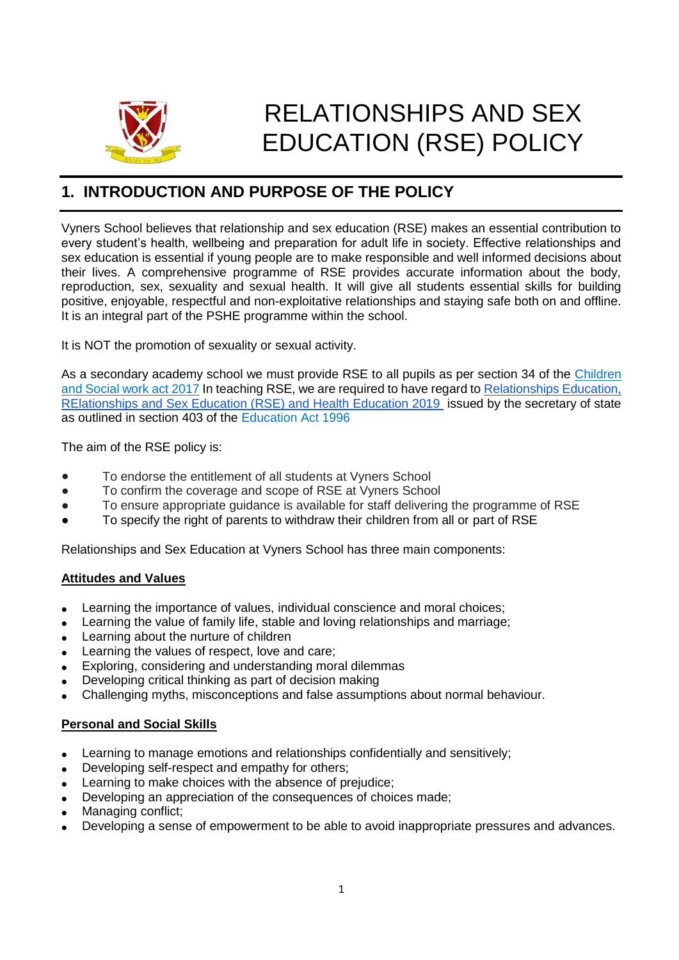

# RELATIONSHIPS AND SEX EDUCATION (RSE) POLICY

### **1. INTRODUCTION AND PURPOSE OF THE POLICY**

Vyners School believes that relationship and sex education (RSE) makes an essential contribution to every student's health, wellbeing and preparation for adult life in society. Effective relationships and sex education is essential if young people are to make responsible and well informed decisions about their lives. A comprehensive programme of RSE provides accurate information about the body, reproduction, sex, sexuality and sexual health. It will give all students essential skills for building positive, enjoyable, respectful and non-exploitative relationships and staying safe both on and offline. It is an integral part of the PSHE programme within the school.

It is NOT the promotion of sexuality or sexual activity.

As a secondary academy school we must provide RSE to all pupils as per section 34 of th[e](http://www.legislation.gov.uk/ukpga/2017/16/section/34/enacted) [Children](http://www.legislation.gov.uk/ukpga/2017/16/section/34/enacted)  [and Social work act 2017](http://www.legislation.gov.uk/ukpga/2017/16/section/34/enacted) In teaching RSE, we are required to have regard t[o](https://www.gov.uk/government/consultations/relationships-and-sex-education-and-health-education) [Relationships Education,](https://www.gov.uk/government/consultations/relationships-and-sex-education-and-health-education)  [RElationships and Sex Education \(RSE\) and Health Education 2019](https://www.gov.uk/government/consultations/relationships-and-sex-education-and-health-education) issued by the secretary of state as outlined in section 403 of the Education Act 1996

The aim of the RSE policy is:

- To endorse the entitlement of all students at Vyners School
- To confirm the coverage and scope of RSE at Vyners School
- To ensure appropriate guidance is available for staff delivering the programme of RSE
- To specify the right of parents to withdraw their children from all or part of RSE

Relationships and Sex Education at Vyners School has three main components:

#### **Attitudes and Values**

- Learning the importance of values, individual conscience and moral choices;
- Learning the value of family life, stable and loving relationships and marriage;
- Learning about the nurture of children
- Learning the values of respect, love and care;
- Exploring, considering and understanding moral dilemmas
- Developing critical thinking as part of decision making
- Challenging myths, misconceptions and false assumptions about normal behaviour.

#### **Personal and Social Skills**

- Learning to manage emotions and relationships confidentially and sensitively;
- Developing self-respect and empathy for others;
- Learning to make choices with the absence of prejudice;
- Developing an appreciation of the consequences of choices made;
- Managing conflict;
- Developing a sense of empowerment to be able to avoid inappropriate pressures and advances.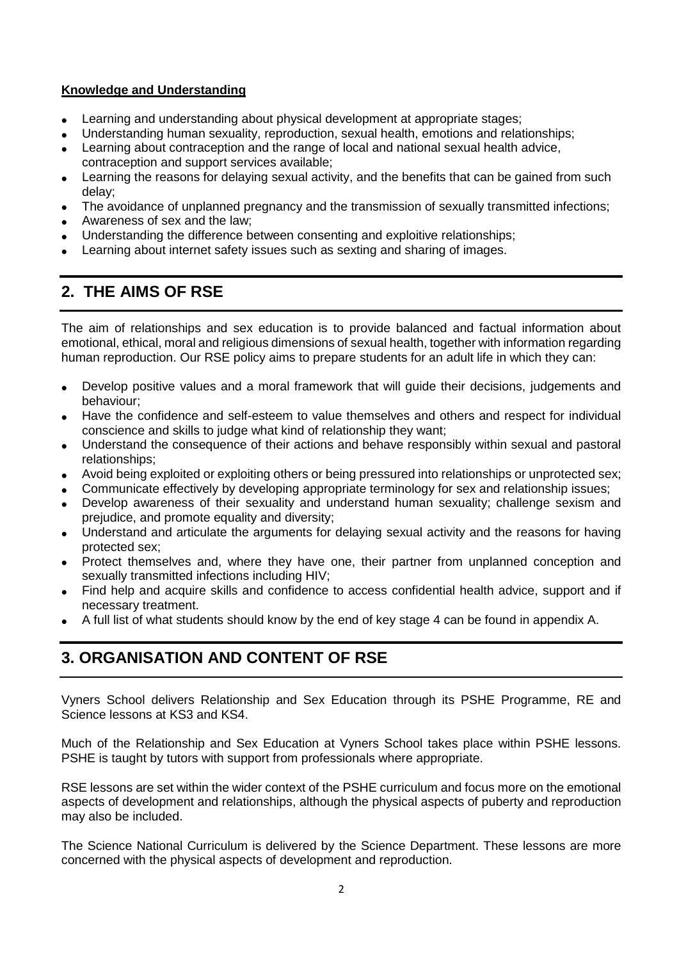#### **Knowledge and Understanding**

- Learning and understanding about physical development at appropriate stages;
- Understanding human sexuality, reproduction, sexual health, emotions and relationships;
- Learning about contraception and the range of local and national sexual health advice, contraception and support services available;
- Learning the reasons for delaying sexual activity, and the benefits that can be gained from such delay;
- The avoidance of unplanned pregnancy and the transmission of sexually transmitted infections;
- Awareness of sex and the law;
- Understanding the difference between consenting and exploitive relationships;
- Learning about internet safety issues such as sexting and sharing of images.

### **2. THE AIMS OF RSE**

The aim of relationships and sex education is to provide balanced and factual information about emotional, ethical, moral and religious dimensions of sexual health, together with information regarding human reproduction. Our RSE policy aims to prepare students for an adult life in which they can:

- Develop positive values and a moral framework that will guide their decisions, judgements and behaviour;
- Have the confidence and self-esteem to value themselves and others and respect for individual conscience and skills to judge what kind of relationship they want;
- Understand the consequence of their actions and behave responsibly within sexual and pastoral relationships;
- Avoid being exploited or exploiting others or being pressured into relationships or unprotected sex;
- Communicate effectively by developing appropriate terminology for sex and relationship issues;
- Develop awareness of their sexuality and understand human sexuality; challenge sexism and prejudice, and promote equality and diversity;
- Understand and articulate the arguments for delaying sexual activity and the reasons for having protected sex;
- Protect themselves and, where they have one, their partner from unplanned conception and sexually transmitted infections including HIV;
- Find help and acquire skills and confidence to access confidential health advice, support and if necessary treatment.
- A full list of what students should know by the end of key stage 4 can be found in appendix A.

# **3. ORGANISATION AND CONTENT OF RSE**

Vyners School delivers Relationship and Sex Education through its PSHE Programme, RE and Science lessons at KS3 and KS4.

Much of the Relationship and Sex Education at Vyners School takes place within PSHE lessons. PSHE is taught by tutors with support from professionals where appropriate.

RSE lessons are set within the wider context of the PSHE curriculum and focus more on the emotional aspects of development and relationships, although the physical aspects of puberty and reproduction may also be included.

The Science National Curriculum is delivered by the Science Department. These lessons are more concerned with the physical aspects of development and reproduction.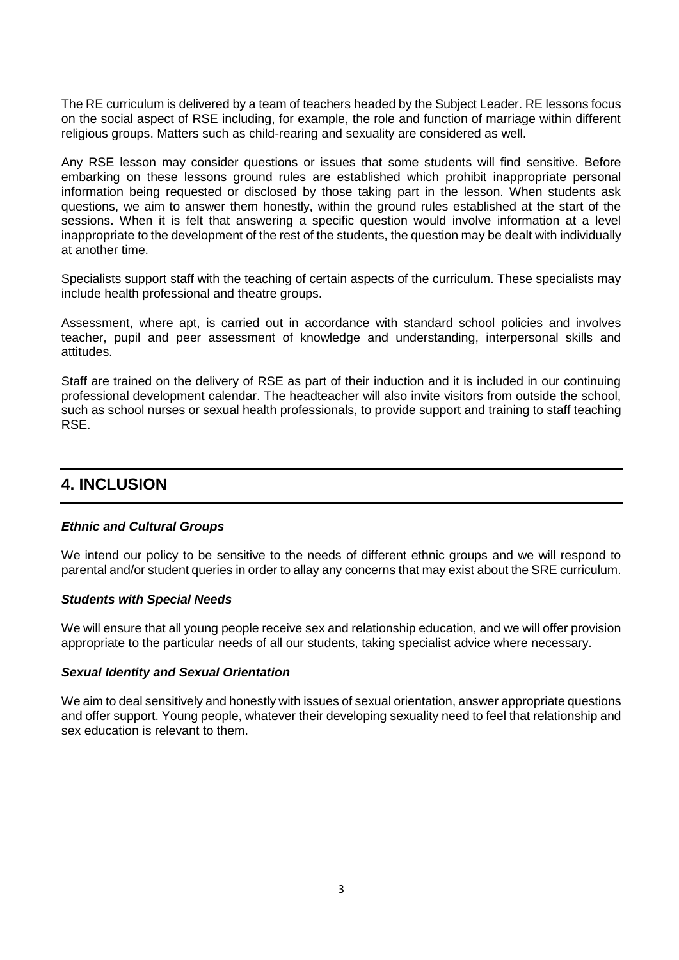The RE curriculum is delivered by a team of teachers headed by the Subject Leader. RE lessons focus on the social aspect of RSE including, for example, the role and function of marriage within different religious groups. Matters such as child-rearing and sexuality are considered as well.

Any RSE lesson may consider questions or issues that some students will find sensitive. Before embarking on these lessons ground rules are established which prohibit inappropriate personal information being requested or disclosed by those taking part in the lesson. When students ask questions, we aim to answer them honestly, within the ground rules established at the start of the sessions. When it is felt that answering a specific question would involve information at a level inappropriate to the development of the rest of the students, the question may be dealt with individually at another time.

Specialists support staff with the teaching of certain aspects of the curriculum. These specialists may include health professional and theatre groups.

Assessment, where apt, is carried out in accordance with standard school policies and involves teacher, pupil and peer assessment of knowledge and understanding, interpersonal skills and attitudes.

Staff are trained on the delivery of RSE as part of their induction and it is included in our continuing professional development calendar. The headteacher will also invite visitors from outside the school, such as school nurses or sexual health professionals, to provide support and training to staff teaching RSE.

### **4. INCLUSION**

#### *Ethnic and Cultural Groups*

We intend our policy to be sensitive to the needs of different ethnic groups and we will respond to parental and/or student queries in order to allay any concerns that may exist about the SRE curriculum.

#### *Students with Special Needs*

We will ensure that all young people receive sex and relationship education, and we will offer provision appropriate to the particular needs of all our students, taking specialist advice where necessary.

#### *Sexual Identity and Sexual Orientation*

We aim to deal sensitively and honestly with issues of sexual orientation, answer appropriate questions and offer support. Young people, whatever their developing sexuality need to feel that relationship and sex education is relevant to them.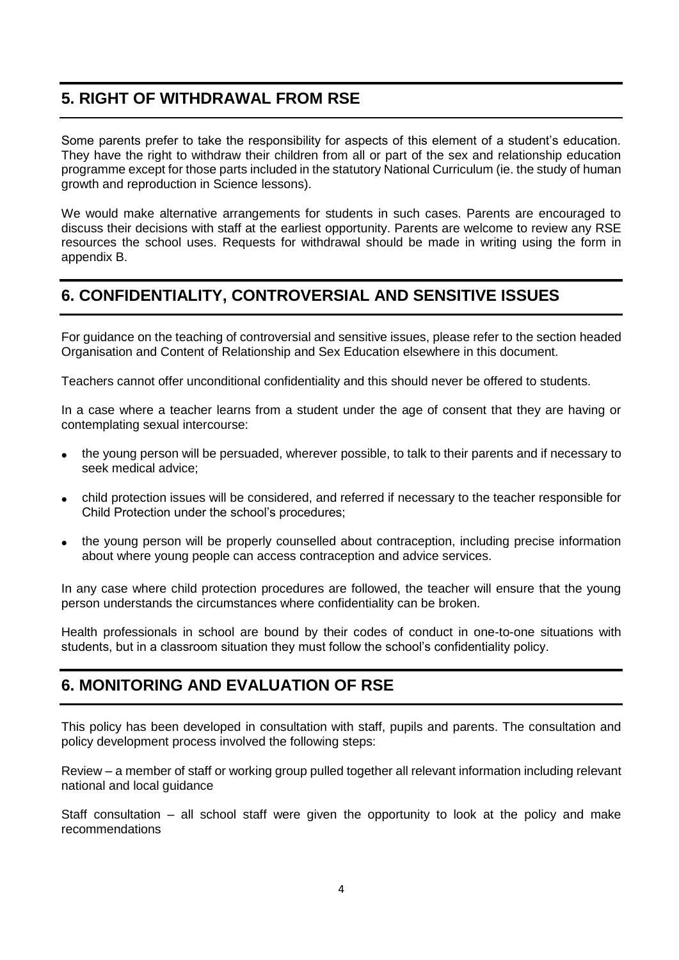### **5. RIGHT OF WITHDRAWAL FROM RSE**

Some parents prefer to take the responsibility for aspects of this element of a student's education. They have the right to withdraw their children from all or part of the sex and relationship education programme except for those parts included in the statutory National Curriculum (ie. the study of human growth and reproduction in Science lessons).

We would make alternative arrangements for students in such cases. Parents are encouraged to discuss their decisions with staff at the earliest opportunity. Parents are welcome to review any RSE resources the school uses. Requests for withdrawal should be made in writing using the form in appendix B.

# **6. CONFIDENTIALITY, CONTROVERSIAL AND SENSITIVE ISSUES**

For guidance on the teaching of controversial and sensitive issues, please refer to the section headed Organisation and Content of Relationship and Sex Education elsewhere in this document.

Teachers cannot offer unconditional confidentiality and this should never be offered to students.

In a case where a teacher learns from a student under the age of consent that they are having or contemplating sexual intercourse:

- the young person will be persuaded, wherever possible, to talk to their parents and if necessary to seek medical advice;
- child protection issues will be considered, and referred if necessary to the teacher responsible for Child Protection under the school's procedures;
- the young person will be properly counselled about contraception, including precise information about where young people can access contraception and advice services.

In any case where child protection procedures are followed, the teacher will ensure that the young person understands the circumstances where confidentiality can be broken.

Health professionals in school are bound by their codes of conduct in one-to-one situations with students, but in a classroom situation they must follow the school's confidentiality policy.

### **6. MONITORING AND EVALUATION OF RSE**

This policy has been developed in consultation with staff, pupils and parents. The consultation and policy development process involved the following steps:

Review – a member of staff or working group pulled together all relevant information including relevant national and local guidance

Staff consultation – all school staff were given the opportunity to look at the policy and make recommendations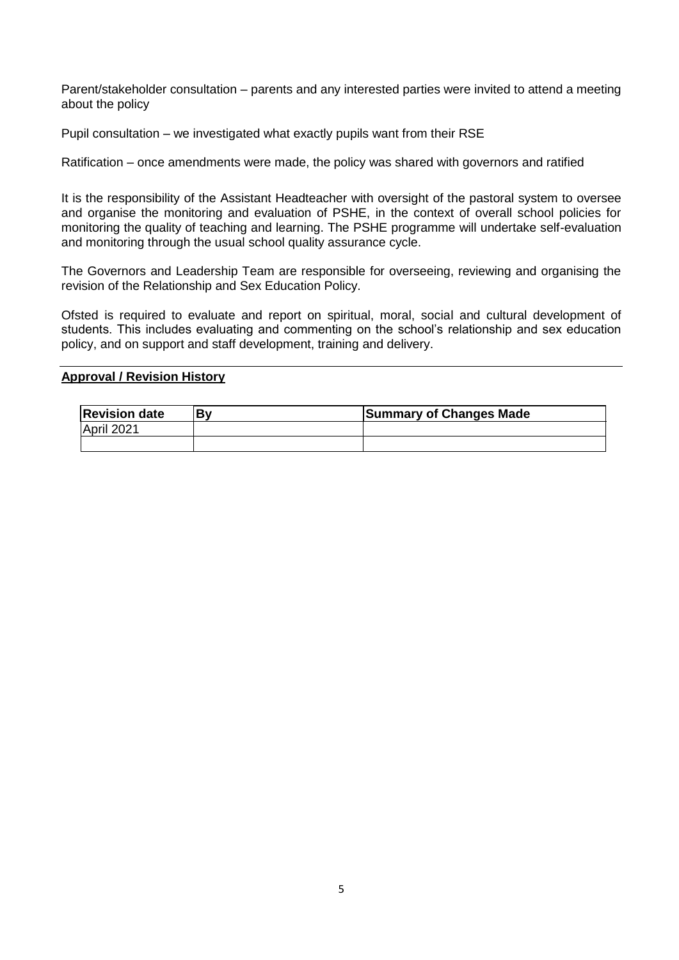Parent/stakeholder consultation – parents and any interested parties were invited to attend a meeting about the policy

Pupil consultation – we investigated what exactly pupils want from their RSE

Ratification – once amendments were made, the policy was shared with governors and ratified

It is the responsibility of the Assistant Headteacher with oversight of the pastoral system to oversee and organise the monitoring and evaluation of PSHE, in the context of overall school policies for monitoring the quality of teaching and learning. The PSHE programme will undertake self-evaluation and monitoring through the usual school quality assurance cycle.

The Governors and Leadership Team are responsible for overseeing, reviewing and organising the revision of the Relationship and Sex Education Policy.

Ofsted is required to evaluate and report on spiritual, moral, social and cultural development of students. This includes evaluating and commenting on the school's relationship and sex education policy, and on support and staff development, training and delivery.

#### **Approval / Revision History**

| <b>Revision date</b> | <b>Summary of Changes Made</b> |
|----------------------|--------------------------------|
| April 2021           |                                |
|                      |                                |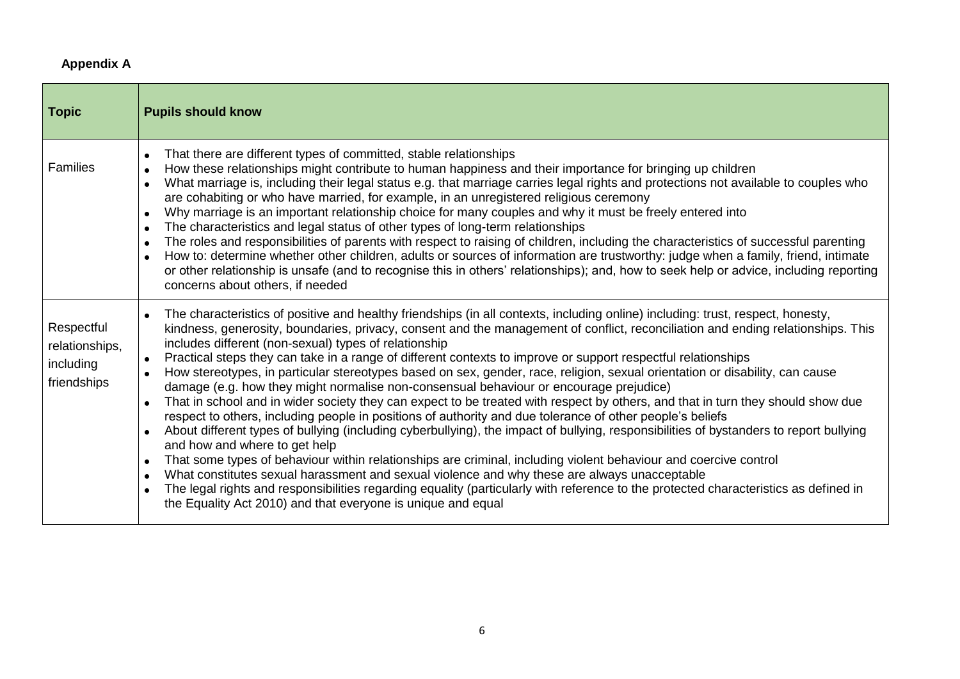### **Appendix A**

| Topic                                                    | <b>Pupils should know</b>                                                                                                                                                                                                                                                                                                                                                                                                                                                                                                                                                                                                                                                                                                                                                                                                                                                                                                                                                                                                                                                                                                                                                                                                                                                                                                                                                                                                                                                                                                                                                                                    |
|----------------------------------------------------------|--------------------------------------------------------------------------------------------------------------------------------------------------------------------------------------------------------------------------------------------------------------------------------------------------------------------------------------------------------------------------------------------------------------------------------------------------------------------------------------------------------------------------------------------------------------------------------------------------------------------------------------------------------------------------------------------------------------------------------------------------------------------------------------------------------------------------------------------------------------------------------------------------------------------------------------------------------------------------------------------------------------------------------------------------------------------------------------------------------------------------------------------------------------------------------------------------------------------------------------------------------------------------------------------------------------------------------------------------------------------------------------------------------------------------------------------------------------------------------------------------------------------------------------------------------------------------------------------------------------|
| <b>Families</b>                                          | That there are different types of committed, stable relationships<br>$\bullet$<br>How these relationships might contribute to human happiness and their importance for bringing up children<br>$\bullet$<br>What marriage is, including their legal status e.g. that marriage carries legal rights and protections not available to couples who<br>are cohabiting or who have married, for example, in an unregistered religious ceremony<br>Why marriage is an important relationship choice for many couples and why it must be freely entered into<br>$\bullet$<br>The characteristics and legal status of other types of long-term relationships<br>$\bullet$<br>The roles and responsibilities of parents with respect to raising of children, including the characteristics of successful parenting<br>$\bullet$<br>How to: determine whether other children, adults or sources of information are trustworthy: judge when a family, friend, intimate<br>$\bullet$<br>or other relationship is unsafe (and to recognise this in others' relationships); and, how to seek help or advice, including reporting<br>concerns about others, if needed                                                                                                                                                                                                                                                                                                                                                                                                                                                       |
| Respectful<br>relationships,<br>including<br>friendships | The characteristics of positive and healthy friendships (in all contexts, including online) including: trust, respect, honesty,<br>kindness, generosity, boundaries, privacy, consent and the management of conflict, reconciliation and ending relationships. This<br>includes different (non-sexual) types of relationship<br>Practical steps they can take in a range of different contexts to improve or support respectful relationships<br>How stereotypes, in particular stereotypes based on sex, gender, race, religion, sexual orientation or disability, can cause<br>$\bullet$<br>damage (e.g. how they might normalise non-consensual behaviour or encourage prejudice)<br>That in school and in wider society they can expect to be treated with respect by others, and that in turn they should show due<br>$\bullet$<br>respect to others, including people in positions of authority and due tolerance of other people's beliefs<br>About different types of bullying (including cyberbullying), the impact of bullying, responsibilities of bystanders to report bullying<br>$\bullet$<br>and how and where to get help<br>That some types of behaviour within relationships are criminal, including violent behaviour and coercive control<br>$\bullet$<br>What constitutes sexual harassment and sexual violence and why these are always unacceptable<br>$\bullet$<br>The legal rights and responsibilities regarding equality (particularly with reference to the protected characteristics as defined in<br>$\bullet$<br>the Equality Act 2010) and that everyone is unique and equal |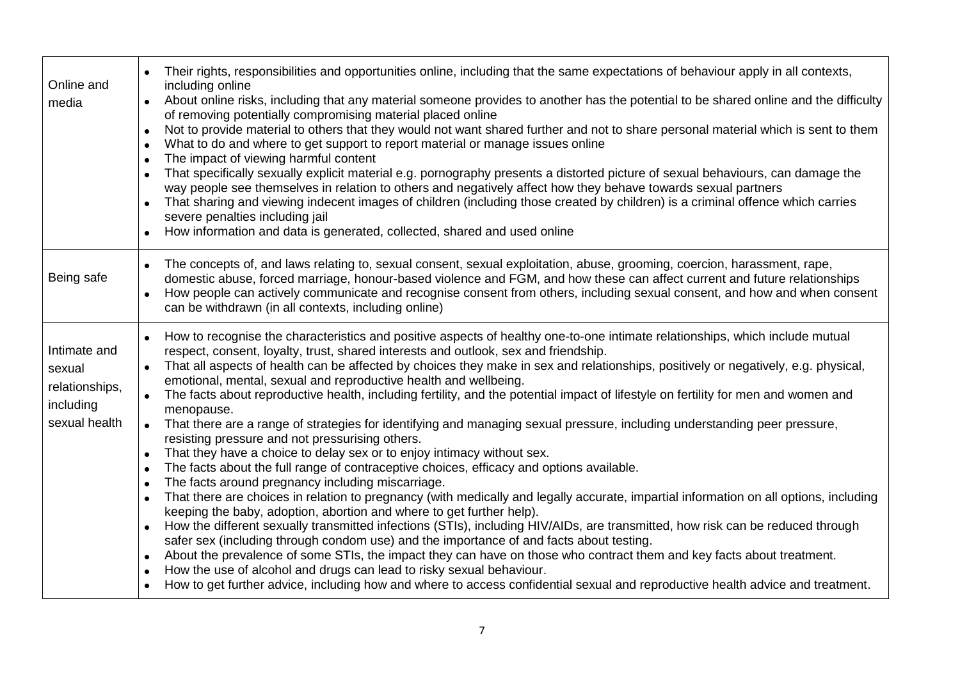| Online and<br>media                                                    | Their rights, responsibilities and opportunities online, including that the same expectations of behaviour apply in all contexts,<br>including online<br>About online risks, including that any material someone provides to another has the potential to be shared online and the difficulty<br>$\bullet$<br>of removing potentially compromising material placed online<br>Not to provide material to others that they would not want shared further and not to share personal material which is sent to them<br>$\bullet$<br>What to do and where to get support to report material or manage issues online<br>$\bullet$<br>The impact of viewing harmful content<br>$\bullet$<br>That specifically sexually explicit material e.g. pornography presents a distorted picture of sexual behaviours, can damage the<br>way people see themselves in relation to others and negatively affect how they behave towards sexual partners<br>That sharing and viewing indecent images of children (including those created by children) is a criminal offence which carries<br>severe penalties including jail<br>How information and data is generated, collected, shared and used online<br>$\bullet$                                                                                                                                                                                                                                                                                                                                                                                                                                                                                                                                                                                                                                                                      |
|------------------------------------------------------------------------|--------------------------------------------------------------------------------------------------------------------------------------------------------------------------------------------------------------------------------------------------------------------------------------------------------------------------------------------------------------------------------------------------------------------------------------------------------------------------------------------------------------------------------------------------------------------------------------------------------------------------------------------------------------------------------------------------------------------------------------------------------------------------------------------------------------------------------------------------------------------------------------------------------------------------------------------------------------------------------------------------------------------------------------------------------------------------------------------------------------------------------------------------------------------------------------------------------------------------------------------------------------------------------------------------------------------------------------------------------------------------------------------------------------------------------------------------------------------------------------------------------------------------------------------------------------------------------------------------------------------------------------------------------------------------------------------------------------------------------------------------------------------------------------------------------------------------------------------------------------------------|
| Being safe                                                             | The concepts of, and laws relating to, sexual consent, sexual exploitation, abuse, grooming, coercion, harassment, rape,<br>$\bullet$<br>domestic abuse, forced marriage, honour-based violence and FGM, and how these can affect current and future relationships<br>How people can actively communicate and recognise consent from others, including sexual consent, and how and when consent<br>can be withdrawn (in all contexts, including online)                                                                                                                                                                                                                                                                                                                                                                                                                                                                                                                                                                                                                                                                                                                                                                                                                                                                                                                                                                                                                                                                                                                                                                                                                                                                                                                                                                                                                  |
| Intimate and<br>sexual<br>relationships,<br>including<br>sexual health | How to recognise the characteristics and positive aspects of healthy one-to-one intimate relationships, which include mutual<br>respect, consent, loyalty, trust, shared interests and outlook, sex and friendship.<br>That all aspects of health can be affected by choices they make in sex and relationships, positively or negatively, e.g. physical,<br>emotional, mental, sexual and reproductive health and wellbeing.<br>The facts about reproductive health, including fertility, and the potential impact of lifestyle on fertility for men and women and<br>menopause.<br>That there are a range of strategies for identifying and managing sexual pressure, including understanding peer pressure,<br>resisting pressure and not pressurising others.<br>That they have a choice to delay sex or to enjoy intimacy without sex.<br>$\bullet$<br>The facts about the full range of contraceptive choices, efficacy and options available.<br>$\bullet$<br>The facts around pregnancy including miscarriage.<br>$\bullet$<br>That there are choices in relation to pregnancy (with medically and legally accurate, impartial information on all options, including<br>$\bullet$<br>keeping the baby, adoption, abortion and where to get further help).<br>How the different sexually transmitted infections (STIs), including HIV/AIDs, are transmitted, how risk can be reduced through<br>$\bullet$<br>safer sex (including through condom use) and the importance of and facts about testing.<br>About the prevalence of some STIs, the impact they can have on those who contract them and key facts about treatment.<br>$\bullet$<br>How the use of alcohol and drugs can lead to risky sexual behaviour.<br>How to get further advice, including how and where to access confidential sexual and reproductive health advice and treatment.<br>$\bullet$ |